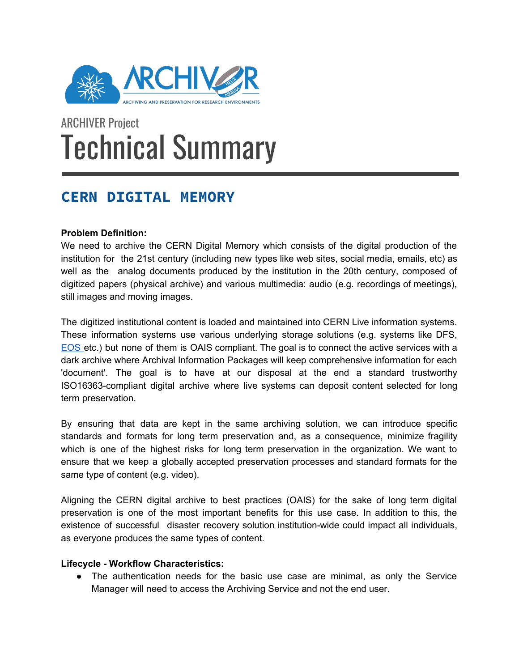

# ARCHIVER Project Technical Summary

# **CERN DIGITAL MEMORY**

## **Problem Definition:**

We need to archive the CERN Digital Memory which consists of the digital production of the institution for the 21st century (including new types like web sites, social media, emails, etc) as well as the analog documents produced by the institution in the 20th century, composed of digitized papers (physical archive) and various multimedia: audio (e.g. recordings of meetings), still images and moving images.

The digitized institutional content is loaded and maintained into CERN Live information systems. These information systems use various underlying storage solutions (e.g. systems like DFS, [EOS](http://eos.web.cern.ch/) etc.) but none of them is OAIS compliant. The goal is to connect the active services with a dark archive where Archival Information Packages will keep comprehensive information for each 'document'. The goal is to have at our disposal at the end a standard trustworthy ISO16363-compliant digital archive where live systems can deposit content selected for long term preservation.

By ensuring that data are kept in the same archiving solution, we can introduce specific standards and formats for long term preservation and, as a consequence, minimize fragility which is one of the highest risks for long term preservation in the organization. We want to ensure that we keep a globally accepted preservation processes and standard formats for the same type of content (e.g. video).

Aligning the CERN digital archive to best practices (OAIS) for the sake of long term digital preservation is one of the most important benefits for this use case. In addition to this, the existence of successful disaster recovery solution institution-wide could impact all individuals, as everyone produces the same types of content.

#### **Lifecycle - Workflow Characteristics:**

• The authentication needs for the basic use case are minimal, as only the Service Manager will need to access the Archiving Service and not the end user.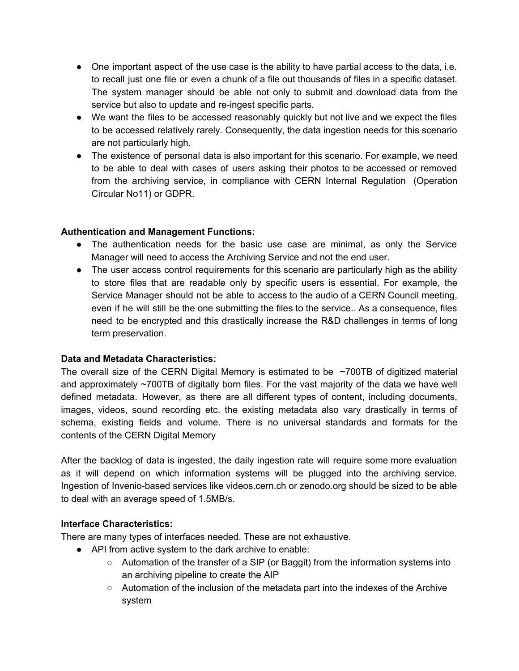- One important aspect of the use case is the ability to have partial access to the data, i.e. to recall just one file or even a chunk of a file out thousands of files in a specific dataset. The system manager should be able not only to submit and download data from the service but also to update and re-ingest specific parts.
- We want the files to be accessed reasonably quickly but not live and we expect the files to be accessed relatively rarely. Consequently, the data ingestion needs for this scenario are not particularly high.
- The existence of personal data is also important for this scenario. For example, we need to be able to deal with cases of users asking their photos to be accessed or removed from the archiving service, in compliance with CERN Internal Regulation (Operation Circular No11) or GDPR.

#### **Authentication and Management Functions:**

- The authentication needs for the basic use case are minimal, as only the Service Manager will need to access the Archiving Service and not the end user.
- The user access control requirements for this scenario are particularly high as the ability to store files that are readable only by specific users is essential. For example, the Service Manager should not be able to access to the audio of a CERN Council meeting, even if he will still be the one submitting the files to the service.. As a consequence, files need to be encrypted and this drastically increase the R&D challenges in terms of long term preservation.

#### **Data and Metadata Characteristics:**

The overall size of the CERN Digital Memory is estimated to be  $\sim$ 700TB of digitized material and approximately ~700TB of digitally born files. For the vast majority of the data we have well defined metadata. However, as there are all different types of content, including documents, images, videos, sound recording etc. the existing metadata also vary drastically in terms of schema, existing fields and volume. There is no universal standards and formats for the contents of the CERN Digital Memory

After the backlog of data is ingested, the daily ingestion rate will require some more evaluation as it will depend on which information systems will be plugged into the archiving service. Ingestion of Invenio-based services like videos.cern.ch or zenodo.org should be sized to be able to deal with an average speed of 1.5MB/s.

#### **Interface Characteristics:**

There are many types of interfaces needed. These are not exhaustive.

- API from active system to the dark archive to enable:
	- Automation of the transfer of a SIP (or Baggit) from the information systems into an archiving pipeline to create the AIP
	- $\circ$  Automation of the inclusion of the metadata part into the indexes of the Archive system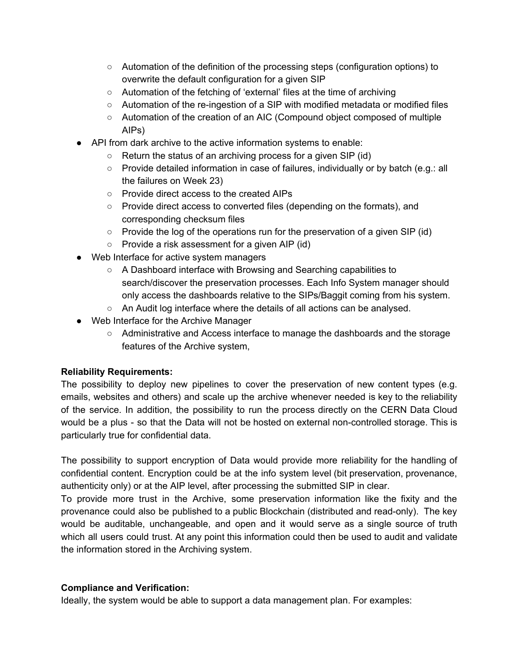- Automation of the definition of the processing steps (configuration options) to overwrite the default configuration for a given SIP
- Automation of the fetching of 'external' files at the time of archiving
- Automation of the re-ingestion of a SIP with modified metadata or modified files
- Automation of the creation of an AIC (Compound object composed of multiple AIPs)
- API from dark archive to the active information systems to enable:
	- Return the status of an archiving process for a given SIP (id)
	- $\circ$  Provide detailed information in case of failures, individually or by batch (e.g.: all the failures on Week 23)
	- Provide direct access to the created AIPs
	- Provide direct access to converted files (depending on the formats), and corresponding checksum files
	- Provide the log of the operations run for the preservation of a given SIP (id)
	- Provide a risk assessment for a given AIP (id)
- Web Interface for active system managers
	- A Dashboard interface with Browsing and Searching capabilities to search/discover the preservation processes. Each Info System manager should only access the dashboards relative to the SIPs/Baggit coming from his system.
	- An Audit log interface where the details of all actions can be analysed.
- Web Interface for the Archive Manager
	- Administrative and Access interface to manage the dashboards and the storage features of the Archive system,

#### **Reliability Requirements:**

The possibility to deploy new pipelines to cover the preservation of new content types (e.g. emails, websites and others) and scale up the archive whenever needed is key to the reliability of the service. In addition, the possibility to run the process directly on the CERN Data Cloud would be a plus - so that the Data will not be hosted on external non-controlled storage. This is particularly true for confidential data.

The possibility to support encryption of Data would provide more reliability for the handling of confidential content. Encryption could be at the info system level (bit preservation, provenance, authenticity only) or at the AIP level, after processing the submitted SIP in clear.

To provide more trust in the Archive, some preservation information like the fixity and the provenance could also be published to a public Blockchain (distributed and read-only). The key would be auditable, unchangeable, and open and it would serve as a single source of truth which all users could trust. At any point this information could then be used to audit and validate the information stored in the Archiving system.

#### **Compliance and Verification:**

Ideally, the system would be able to support a data management plan. For examples: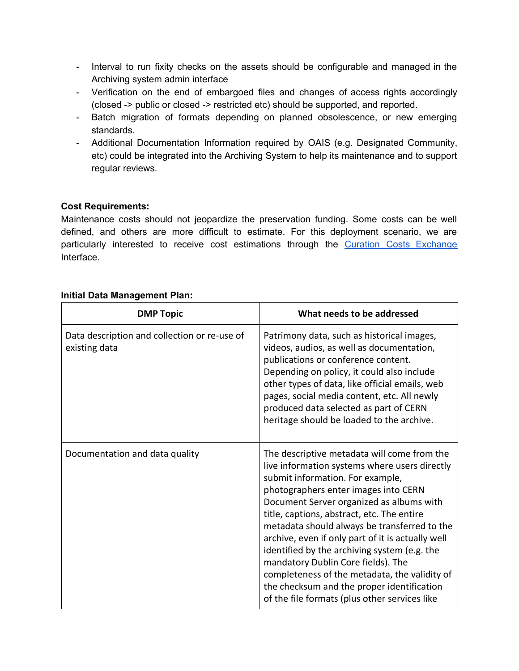- Interval to run fixity checks on the assets should be configurable and managed in the Archiving system admin interface
- Verification on the end of embargoed files and changes of access rights accordingly (closed -> public or closed -> restricted etc) should be supported, and reported.
- Batch migration of formats depending on planned obsolescence, or new emerging standards.
- Additional Documentation Information required by OAIS (e.g. Designated Community, etc) could be integrated into the Archiving System to help its maintenance and to support regular reviews.

## **Cost Requirements:**

Maintenance costs should not jeopardize the preservation funding. Some costs can be well defined, and others are more difficult to estimate. For this deployment scenario, we are particularly interested to receive cost estimations through the Curation Costs [Exchange](http://www.curationexchange.org/) Interface.

#### **Initial Data Management Plan:**

| <b>DMP Topic</b>                                              | What needs to be addressed                                                                                                                                                                                                                                                                                                                                                                                                                                                                                                                                                                                    |
|---------------------------------------------------------------|---------------------------------------------------------------------------------------------------------------------------------------------------------------------------------------------------------------------------------------------------------------------------------------------------------------------------------------------------------------------------------------------------------------------------------------------------------------------------------------------------------------------------------------------------------------------------------------------------------------|
| Data description and collection or re-use of<br>existing data | Patrimony data, such as historical images,<br>videos, audios, as well as documentation,<br>publications or conference content.<br>Depending on policy, it could also include<br>other types of data, like official emails, web<br>pages, social media content, etc. All newly<br>produced data selected as part of CERN<br>heritage should be loaded to the archive.                                                                                                                                                                                                                                          |
| Documentation and data quality                                | The descriptive metadata will come from the<br>live information systems where users directly<br>submit information. For example,<br>photographers enter images into CERN<br>Document Server organized as albums with<br>title, captions, abstract, etc. The entire<br>metadata should always be transferred to the<br>archive, even if only part of it is actually well<br>identified by the archiving system (e.g. the<br>mandatory Dublin Core fields). The<br>completeness of the metadata, the validity of<br>the checksum and the proper identification<br>of the file formats (plus other services like |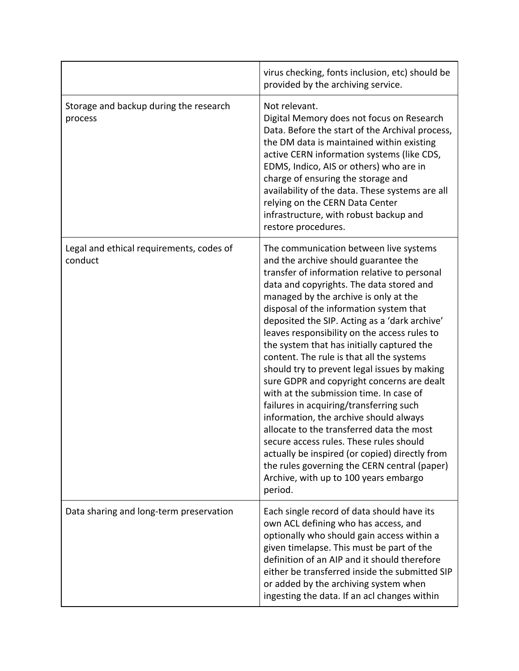|                                                     | virus checking, fonts inclusion, etc) should be<br>provided by the archiving service.                                                                                                                                                                                                                                                                                                                                                                                                                                                                                                                                                                                                                                                                                                                                                                                                                                                  |
|-----------------------------------------------------|----------------------------------------------------------------------------------------------------------------------------------------------------------------------------------------------------------------------------------------------------------------------------------------------------------------------------------------------------------------------------------------------------------------------------------------------------------------------------------------------------------------------------------------------------------------------------------------------------------------------------------------------------------------------------------------------------------------------------------------------------------------------------------------------------------------------------------------------------------------------------------------------------------------------------------------|
| Storage and backup during the research<br>process   | Not relevant.<br>Digital Memory does not focus on Research<br>Data. Before the start of the Archival process,<br>the DM data is maintained within existing<br>active CERN information systems (like CDS,<br>EDMS, Indico, AIS or others) who are in<br>charge of ensuring the storage and<br>availability of the data. These systems are all<br>relying on the CERN Data Center<br>infrastructure, with robust backup and<br>restore procedures.                                                                                                                                                                                                                                                                                                                                                                                                                                                                                       |
| Legal and ethical requirements, codes of<br>conduct | The communication between live systems<br>and the archive should guarantee the<br>transfer of information relative to personal<br>data and copyrights. The data stored and<br>managed by the archive is only at the<br>disposal of the information system that<br>deposited the SIP. Acting as a 'dark archive'<br>leaves responsibility on the access rules to<br>the system that has initially captured the<br>content. The rule is that all the systems<br>should try to prevent legal issues by making<br>sure GDPR and copyright concerns are dealt<br>with at the submission time. In case of<br>failures in acquiring/transferring such<br>information, the archive should always<br>allocate to the transferred data the most<br>secure access rules. These rules should<br>actually be inspired (or copied) directly from<br>the rules governing the CERN central (paper)<br>Archive, with up to 100 years embargo<br>period. |
| Data sharing and long-term preservation             | Each single record of data should have its<br>own ACL defining who has access, and<br>optionally who should gain access within a<br>given timelapse. This must be part of the<br>definition of an AIP and it should therefore<br>either be transferred inside the submitted SIP<br>or added by the archiving system when<br>ingesting the data. If an acl changes within                                                                                                                                                                                                                                                                                                                                                                                                                                                                                                                                                               |